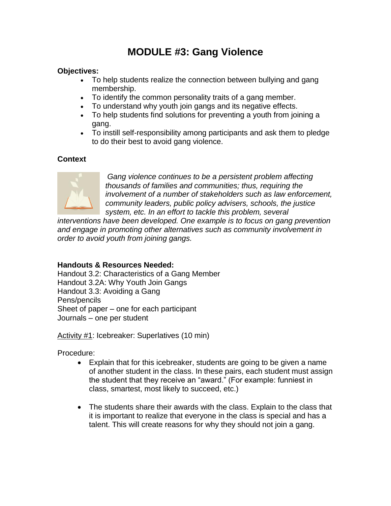# **MODULE #3: Gang Violence**

#### **Objectives:**

- To help students realize the connection between bullying and gang membership.
- To identify the common personality traits of a gang member.
- To understand why youth join gangs and its negative effects.
- To help students find solutions for preventing a youth from joining a gang.
- To instill self-responsibility among participants and ask them to pledge to do their best to avoid gang violence.

### **Context**



*Gang violence continues to be a persistent problem affecting thousands of families and communities; thus, requiring the involvement of a number of stakeholders such as law enforcement, community leaders, public policy advisers, schools, the justice system, etc. In an effort to tackle this problem, several* 

*interventions have been developed. One example is to focus on gang prevention and engage in promoting other alternatives such as community involvement in order to avoid youth from joining gangs.* 

#### **Handouts & Resources Needed:**

Handout 3.2: Characteristics of a Gang Member Handout 3.2A: Why Youth Join Gangs Handout 3.3: Avoiding a Gang Pens/pencils Sheet of paper – one for each participant Journals – one per student

Activity #1: Icebreaker: Superlatives (10 min)

Procedure:

- Explain that for this icebreaker, students are going to be given a name of another student in the class. In these pairs, each student must assign the student that they receive an "award." (For example: funniest in class, smartest, most likely to succeed, etc.)
- The students share their awards with the class. Explain to the class that it is important to realize that everyone in the class is special and has a talent. This will create reasons for why they should not join a gang.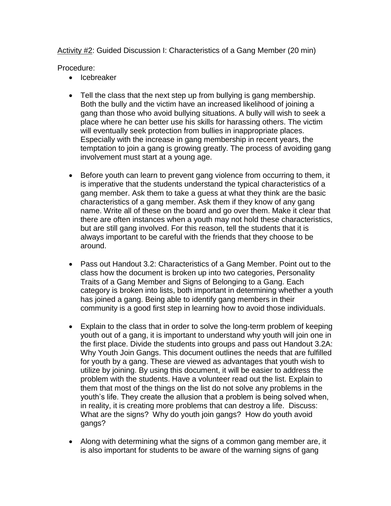Activity #2: Guided Discussion I: Characteristics of a Gang Member (20 min)

Procedure:

- Icebreaker
- Tell the class that the next step up from bullying is gang membership. Both the bully and the victim have an increased likelihood of joining a gang than those who avoid bullying situations. A bully will wish to seek a place where he can better use his skills for harassing others. The victim will eventually seek protection from bullies in inappropriate places. Especially with the increase in gang membership in recent years, the temptation to join a gang is growing greatly. The process of avoiding gang involvement must start at a young age.
- Before youth can learn to prevent gang violence from occurring to them, it is imperative that the students understand the typical characteristics of a gang member. Ask them to take a guess at what they think are the basic characteristics of a gang member. Ask them if they know of any gang name. Write all of these on the board and go over them. Make it clear that there are often instances when a youth may not hold these characteristics, but are still gang involved. For this reason, tell the students that it is always important to be careful with the friends that they choose to be around.
- Pass out Handout 3.2: Characteristics of a Gang Member. Point out to the class how the document is broken up into two categories, Personality Traits of a Gang Member and Signs of Belonging to a Gang. Each category is broken into lists, both important in determining whether a youth has joined a gang. Being able to identify gang members in their community is a good first step in learning how to avoid those individuals.
- Explain to the class that in order to solve the long-term problem of keeping youth out of a gang, it is important to understand why youth will join one in the first place. Divide the students into groups and pass out Handout 3.2A: Why Youth Join Gangs. This document outlines the needs that are fulfilled for youth by a gang. These are viewed as advantages that youth wish to utilize by joining. By using this document, it will be easier to address the problem with the students. Have a volunteer read out the list. Explain to them that most of the things on the list do not solve any problems in the youth's life. They create the allusion that a problem is being solved when, in reality, it is creating more problems that can destroy a life. Discuss: What are the signs? Why do youth join gangs? How do youth avoid gangs?
- Along with determining what the signs of a common gang member are, it is also important for students to be aware of the warning signs of gang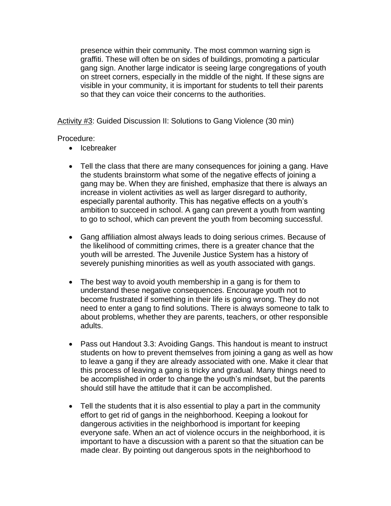presence within their community. The most common warning sign is graffiti. These will often be on sides of buildings, promoting a particular gang sign. Another large indicator is seeing large congregations of youth on street corners, especially in the middle of the night. If these signs are visible in your community, it is important for students to tell their parents so that they can voice their concerns to the authorities.

Activity #3: Guided Discussion II: Solutions to Gang Violence (30 min)

Procedure:

- Icebreaker
- Tell the class that there are many consequences for joining a gang. Have the students brainstorm what some of the negative effects of joining a gang may be. When they are finished, emphasize that there is always an increase in violent activities as well as larger disregard to authority, especially parental authority. This has negative effects on a youth's ambition to succeed in school. A gang can prevent a youth from wanting to go to school, which can prevent the youth from becoming successful.
- Gang affiliation almost always leads to doing serious crimes. Because of the likelihood of committing crimes, there is a greater chance that the youth will be arrested. The Juvenile Justice System has a history of severely punishing minorities as well as youth associated with gangs.
- The best way to avoid youth membership in a gang is for them to understand these negative consequences. Encourage youth not to become frustrated if something in their life is going wrong. They do not need to enter a gang to find solutions. There is always someone to talk to about problems, whether they are parents, teachers, or other responsible adults.
- Pass out Handout 3.3: Avoiding Gangs. This handout is meant to instruct students on how to prevent themselves from joining a gang as well as how to leave a gang if they are already associated with one. Make it clear that this process of leaving a gang is tricky and gradual. Many things need to be accomplished in order to change the youth's mindset, but the parents should still have the attitude that it can be accomplished.
- Tell the students that it is also essential to play a part in the community effort to get rid of gangs in the neighborhood. Keeping a lookout for dangerous activities in the neighborhood is important for keeping everyone safe. When an act of violence occurs in the neighborhood, it is important to have a discussion with a parent so that the situation can be made clear. By pointing out dangerous spots in the neighborhood to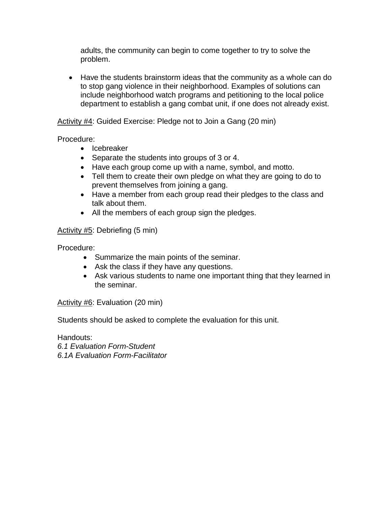adults, the community can begin to come together to try to solve the problem.

 Have the students brainstorm ideas that the community as a whole can do to stop gang violence in their neighborhood. Examples of solutions can include neighborhood watch programs and petitioning to the local police department to establish a gang combat unit, if one does not already exist.

#### Activity #4: Guided Exercise: Pledge not to Join a Gang (20 min)

Procedure:

- Icebreaker
- Separate the students into groups of 3 or 4.
- Have each group come up with a name, symbol, and motto.
- Tell them to create their own pledge on what they are going to do to prevent themselves from joining a gang.
- Have a member from each group read their pledges to the class and talk about them.
- All the members of each group sign the pledges.

#### Activity #5: Debriefing (5 min)

Procedure:

- Summarize the main points of the seminar.
- Ask the class if they have any questions.
- Ask various students to name one important thing that they learned in the seminar.

Activity #6: Evaluation (20 min)

Students should be asked to complete the evaluation for this unit.

Handouts:

*6.1 Evaluation Form-Student*

*6.1A Evaluation Form-Facilitator*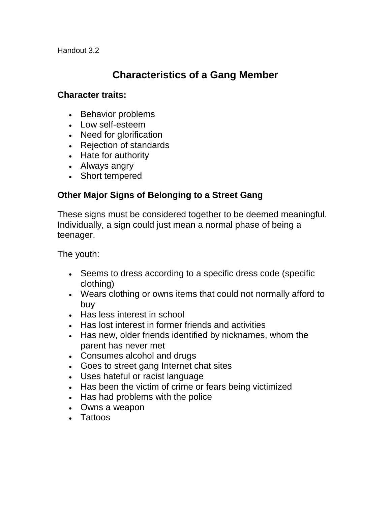Handout 3.2

# **Characteristics of a Gang Member**

### **Character traits:**

- Behavior problems
- Low self-esteem
- Need for glorification
- Rejection of standards
- Hate for authority
- Always angry
- Short tempered

## **Other Major Signs of Belonging to a Street Gang**

These signs must be considered together to be deemed meaningful. Individually, a sign could just mean a normal phase of being a teenager.

The youth:

- Seems to dress according to a specific dress code (specific clothing)
- Wears clothing or owns items that could not normally afford to buy
- Has less interest in school
- Has lost interest in former friends and activities
- Has new, older friends identified by nicknames, whom the parent has never met
- Consumes alcohol and drugs
- Goes to street gang Internet chat sites
- Uses hateful or racist language
- Has been the victim of crime or fears being victimized
- Has had problems with the police
- Owns a weapon
- Tattoos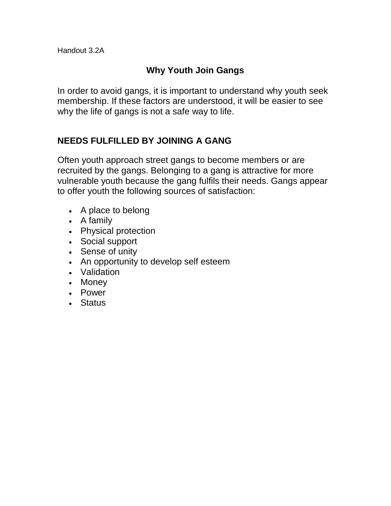# **Why Youth Join Gangs**

In order to avoid gangs, it is important to understand why youth seek membership. If these factors are understood, it will be easier to see why the life of gangs is not a safe way to life.

# **NEEDS FULFILLED BY JOINING A GANG**

Often youth approach street gangs to become members or are recruited by the gangs. Belonging to a gang is attractive for more vulnerable youth because the gang fulfils their needs. Gangs appear to offer youth the following sources of satisfaction:

- A place to belong
- A family
- Physical protection
- Social support
- Sense of unity
- An opportunity to develop self esteem
- Validation
- Money
- Power
- Status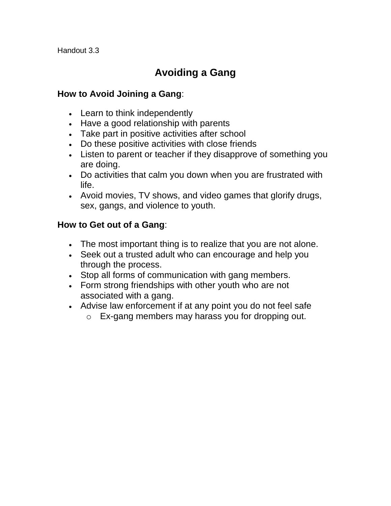Handout 3.3

# **Avoiding a Gang**

## **How to Avoid Joining a Gang**:

- Learn to think independently
- Have a good relationship with parents
- Take part in positive activities after school
- Do these positive activities with close friends
- Listen to parent or teacher if they disapprove of something you are doing.
- Do activities that calm you down when you are frustrated with life.
- Avoid movies, TV shows, and video games that glorify drugs, sex, gangs, and violence to youth.

### **How to Get out of a Gang**:

- The most important thing is to realize that you are not alone.
- Seek out a trusted adult who can encourage and help you through the process.
- Stop all forms of communication with gang members.
- Form strong friendships with other youth who are not associated with a gang.
- Advise law enforcement if at any point you do not feel safe
	- o Ex-gang members may harass you for dropping out.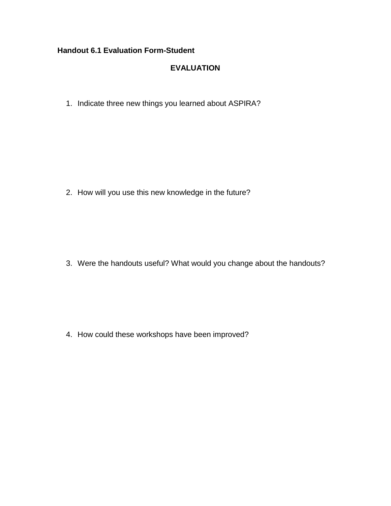#### **Handout 6.1 Evaluation Form-Student**

### **EVALUATION**

1. Indicate three new things you learned about ASPIRA?

2. How will you use this new knowledge in the future?

3. Were the handouts useful? What would you change about the handouts?

4. How could these workshops have been improved?